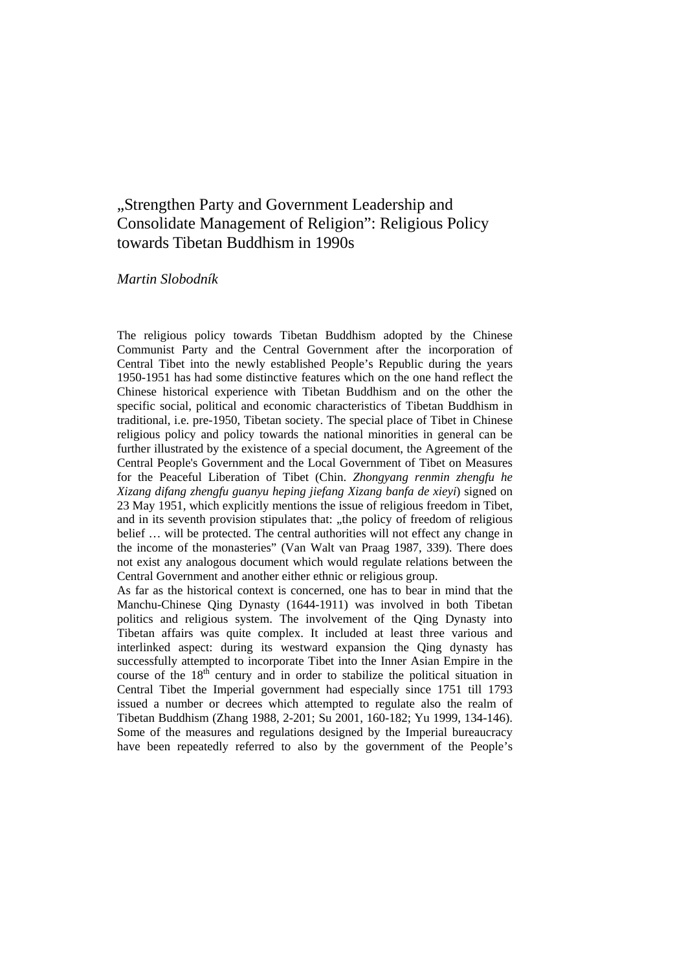## "Strengthen Party and Government Leadership and Consolidate Management of Religion": Religious Policy towards Tibetan Buddhism in 1990s

## *Martin Slobodník*

The religious policy towards Tibetan Buddhism adopted by the Chinese Communist Party and the Central Government after the incorporation of Central Tibet into the newly established People's Republic during the years 1950-1951 has had some distinctive features which on the one hand reflect the Chinese historical experience with Tibetan Buddhism and on the other the specific social, political and economic characteristics of Tibetan Buddhism in traditional, i.e. pre-1950, Tibetan society. The special place of Tibet in Chinese religious policy and policy towards the national minorities in general can be further illustrated by the existence of a special document, the Agreement of the Central People's Government and the Local Government of Tibet on Measures for the Peaceful Liberation of Tibet (Chin. *Zhongyang renmin zhengfu he Xizang difang zhengfu guanyu heping jiefang Xizang banfa de xieyi*) signed on 23 May 1951, which explicitly mentions the issue of religious freedom in Tibet, and in its seventh provision stipulates that: "the policy of freedom of religious belief … will be protected. The central authorities will not effect any change in the income of the monasteries" (Van Walt van Praag 1987, 339). There does not exist any analogous document which would regulate relations between the Central Government and another either ethnic or religious group.

As far as the historical context is concerned, one has to bear in mind that the Manchu-Chinese Qing Dynasty (1644-1911) was involved in both Tibetan politics and religious system. The involvement of the Qing Dynasty into Tibetan affairs was quite complex. It included at least three various and interlinked aspect: during its westward expansion the Qing dynasty has successfully attempted to incorporate Tibet into the Inner Asian Empire in the course of the  $18<sup>th</sup>$  century and in order to stabilize the political situation in Central Tibet the Imperial government had especially since 1751 till 1793 issued a number or decrees which attempted to regulate also the realm of Tibetan Buddhism (Zhang 1988, 2-201; Su 2001, 160-182; Yu 1999, 134-146). Some of the measures and regulations designed by the Imperial bureaucracy have been repeatedly referred to also by the government of the People's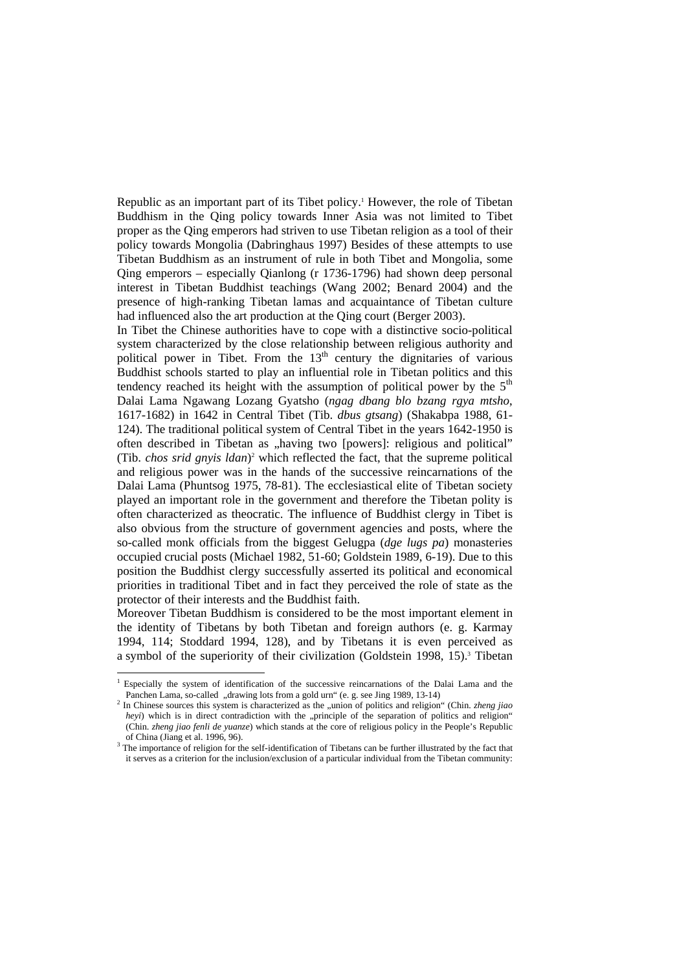Republic as an important part of its Tibet policy.<sup>1</sup> However, the role of Tibetan Buddhism in the Qing policy towards Inner Asia was not limited to Tibet proper as the Qing emperors had striven to use Tibetan religion as a tool of their policy towards Mongolia (Dabringhaus 1997) Besides of these attempts to use Tibetan Buddhism as an instrument of rule in both Tibet and Mongolia, some Qing emperors – especially Qianlong (r 1736-1796) had shown deep personal interest in Tibetan Buddhist teachings (Wang 2002; Benard 2004) and the presence of high-ranking Tibetan lamas and acquaintance of Tibetan culture had influenced also the art production at the Qing court (Berger 2003).

In Tibet the Chinese authorities have to cope with a distinctive socio-political system characterized by the close relationship between religious authority and political power in Tibet. From the  $13<sup>th</sup>$  century the dignitaries of various Buddhist schools started to play an influential role in Tibetan politics and this tendency reached its height with the assumption of political power by the  $5<sup>th</sup>$ Dalai Lama Ngawang Lozang Gyatsho (*ngag dbang blo bzang rgya mtsho*, 1617-1682) in 1642 in Central Tibet (Tib. *dbus gtsang*) (Shakabpa 1988, 61- 124). The traditional political system of Central Tibet in the years 1642-1950 is often described in Tibetan as "having two [powers]: religious and political" (Tib. *chos srid gnyis ldan*)<sup>2</sup> which reflected the fact, that the supreme political and religious power was in the hands of the successive reincarnations of the Dalai Lama (Phuntsog 1975, 78-81). The ecclesiastical elite of Tibetan society played an important role in the government and therefore the Tibetan polity is often characterized as theocratic. The influence of Buddhist clergy in Tibet is also obvious from the structure of government agencies and posts, where the so-called monk officials from the biggest Gelugpa (*dge lugs pa*) monasteries occupied crucial posts (Michael 1982, 51-60; Goldstein 1989, 6-19). Due to this position the Buddhist clergy successfully asserted its political and economical priorities in traditional Tibet and in fact they perceived the role of state as the protector of their interests and the Buddhist faith.

Moreover Tibetan Buddhism is considered to be the most important element in the identity of Tibetans by both Tibetan and foreign authors (e. g. Karmay 1994, 114; Stoddard 1994, 128), and by Tibetans it is even perceived as a symbol of the superiority of their civilization (Goldstein 1998, 15).<sup>3</sup> Tibetan

<sup>1</sup> Especially the system of identification of the successive reincarnations of the Dalai Lama and the Panchen Lama, so-called "drawing lots from a gold urn" (e. g. see Jing 1989, 13-14)

<sup>&</sup>lt;sup>2</sup> In Chinese sources this system is characterized as the "union of politics and religion" (Chin. *zheng jiao heyi*) which is in direct contradiction with the "principle of the separation of politics and religion" (Chin. *zheng jiao fenli de yuanze*) which stands at the core of religious policy in the People's Republic of China (Jiang et al. 1996, 96).

<sup>&</sup>lt;sup>3</sup> The importance of religion for the self-identification of Tibetans can be further illustrated by the fact that it serves as a criterion for the inclusion/exclusion of a particular individual from the Tibetan community: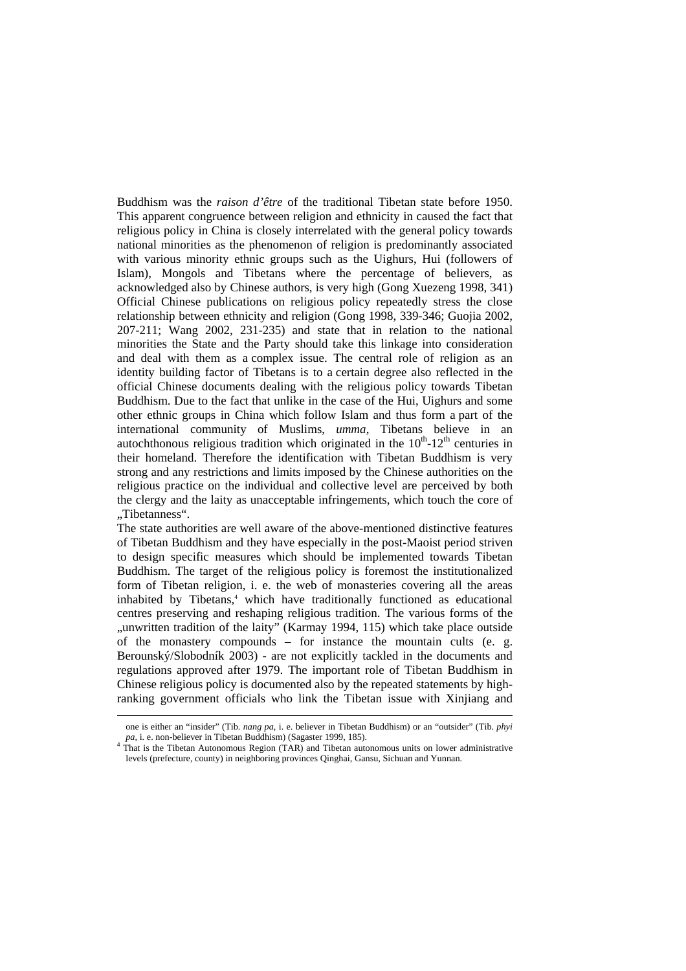Buddhism was the *raison d'être* of the traditional Tibetan state before 1950. This apparent congruence between religion and ethnicity in caused the fact that religious policy in China is closely interrelated with the general policy towards national minorities as the phenomenon of religion is predominantly associated with various minority ethnic groups such as the Uighurs, Hui (followers of Islam), Mongols and Tibetans where the percentage of believers, as acknowledged also by Chinese authors, is very high (Gong Xuezeng 1998, 341) Official Chinese publications on religious policy repeatedly stress the close relationship between ethnicity and religion (Gong 1998, 339-346; Guojia 2002, 207-211; Wang 2002, 231-235) and state that in relation to the national minorities the State and the Party should take this linkage into consideration and deal with them as a complex issue. The central role of religion as an identity building factor of Tibetans is to a certain degree also reflected in the official Chinese documents dealing with the religious policy towards Tibetan Buddhism. Due to the fact that unlike in the case of the Hui, Uighurs and some other ethnic groups in China which follow Islam and thus form a part of the international community of Muslims, *umma*, Tibetans believe in an autochthonous religious tradition which originated in the  $10^{th}$ -12<sup>th</sup> centuries in their homeland. Therefore the identification with Tibetan Buddhism is very strong and any restrictions and limits imposed by the Chinese authorities on the religious practice on the individual and collective level are perceived by both the clergy and the laity as unacceptable infringements, which touch the core of "Tibetanness".

The state authorities are well aware of the above-mentioned distinctive features of Tibetan Buddhism and they have especially in the post-Maoist period striven to design specific measures which should be implemented towards Tibetan Buddhism. The target of the religious policy is foremost the institutionalized form of Tibetan religion, i. e. the web of monasteries covering all the areas inhabited by Tibetans,<sup>4</sup> which have traditionally functioned as educational centres preserving and reshaping religious tradition. The various forms of the "unwritten tradition of the laity" (Karmay 1994, 115) which take place outside of the monastery compounds – for instance the mountain cults (e. g. Berounský/Slobodník 2003) - are not explicitly tackled in the documents and regulations approved after 1979. The important role of Tibetan Buddhism in Chinese religious policy is documented also by the repeated statements by highranking government officials who link the Tibetan issue with Xinjiang and

one is either an "insider" (Tib. *nang pa*, i. e. believer in Tibetan Buddhism) or an "outsider" (Tib. *phyi* 

pa, i. e. non-believer in Tibetan Buddhism) (Sagaster 1999, 185).<br><sup>4</sup> That is the Tibetan Autonomous Region (TAR) and Tibetan autonomous units on lower administrative levels (prefecture, county) in neighboring provinces Qinghai, Gansu, Sichuan and Yunnan.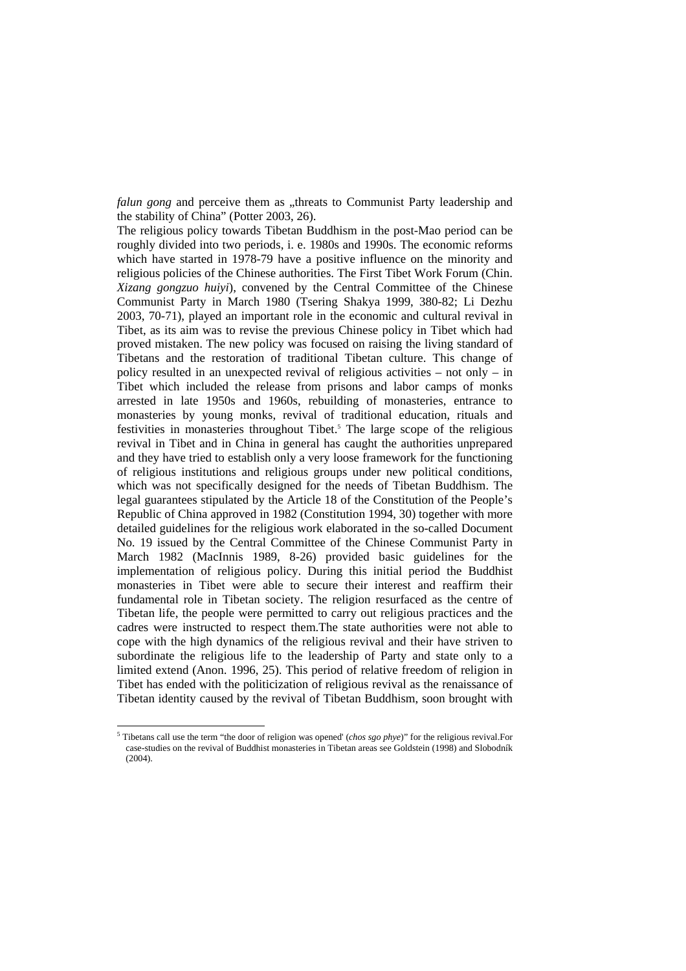*falun gong* and perceive them as "threats to Communist Party leadership and the stability of China" (Potter 2003, 26).

The religious policy towards Tibetan Buddhism in the post-Mao period can be roughly divided into two periods, i. e. 1980s and 1990s. The economic reforms which have started in 1978-79 have a positive influence on the minority and religious policies of the Chinese authorities. The First Tibet Work Forum (Chin. *Xizang gongzuo huiyi*), convened by the Central Committee of the Chinese Communist Party in March 1980 (Tsering Shakya 1999, 380-82; Li Dezhu 2003, 70-71), played an important role in the economic and cultural revival in Tibet, as its aim was to revise the previous Chinese policy in Tibet which had proved mistaken. The new policy was focused on raising the living standard of Tibetans and the restoration of traditional Tibetan culture. This change of policy resulted in an unexpected revival of religious activities – not only – in Tibet which included the release from prisons and labor camps of monks arrested in late 1950s and 1960s, rebuilding of monasteries, entrance to monasteries by young monks, revival of traditional education, rituals and festivities in monasteries throughout Tibet.<sup>5</sup> The large scope of the religious revival in Tibet and in China in general has caught the authorities unprepared and they have tried to establish only a very loose framework for the functioning of religious institutions and religious groups under new political conditions, which was not specifically designed for the needs of Tibetan Buddhism. The legal guarantees stipulated by the Article 18 of the Constitution of the People's Republic of China approved in 1982 (Constitution 1994, 30) together with more detailed guidelines for the religious work elaborated in the so-called Document No. 19 issued by the Central Committee of the Chinese Communist Party in March 1982 (MacInnis 1989, 8-26) provided basic guidelines for the implementation of religious policy. During this initial period the Buddhist monasteries in Tibet were able to secure their interest and reaffirm their fundamental role in Tibetan society. The religion resurfaced as the centre of Tibetan life, the people were permitted to carry out religious practices and the cadres were instructed to respect them.The state authorities were not able to cope with the high dynamics of the religious revival and their have striven to subordinate the religious life to the leadership of Party and state only to a limited extend (Anon. 1996, 25). This period of relative freedom of religion in Tibet has ended with the politicization of religious revival as the renaissance of Tibetan identity caused by the revival of Tibetan Buddhism, soon brought with

<sup>&</sup>lt;sup>5</sup> Tibetans call use the term "the door of religion was opened' (*chos sgo phye*)" for the religious revival.For case-studies on the revival of Buddhist monasteries in Tibetan areas see Goldstein (1998) and Slobodník (2004).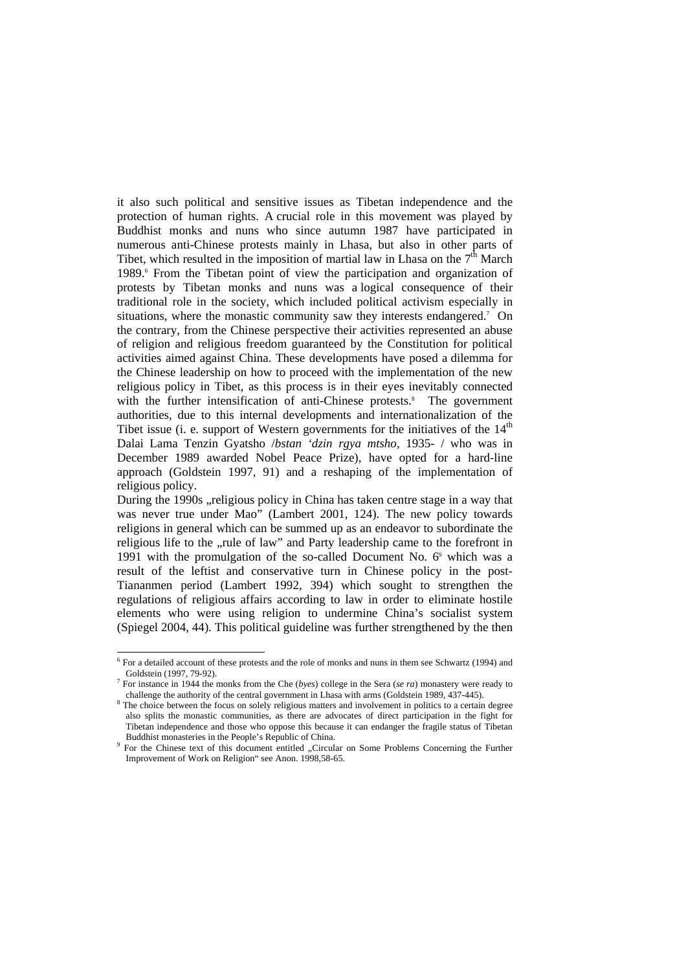it also such political and sensitive issues as Tibetan independence and the protection of human rights. A crucial role in this movement was played by Buddhist monks and nuns who since autumn 1987 have participated in numerous anti-Chinese protests mainly in Lhasa, but also in other parts of Tibet, which resulted in the imposition of martial law in Lhasa on the  $7<sup>th</sup>$  March 1989.<sup>6</sup> From the Tibetan point of view the participation and organization of protests by Tibetan monks and nuns was a logical consequence of their traditional role in the society, which included political activism especially in situations, where the monastic community saw they interests endangered.<sup>7</sup> On the contrary, from the Chinese perspective their activities represented an abuse of religion and religious freedom guaranteed by the Constitution for political activities aimed against China. These developments have posed a dilemma for the Chinese leadership on how to proceed with the implementation of the new religious policy in Tibet, as this process is in their eyes inevitably connected with the further intensification of anti-Chinese protests.<sup>8</sup> The government authorities, due to this internal developments and internationalization of the Tibet issue (i. e. support of Western governments for the initiatives of the  $14<sup>th</sup>$ Dalai Lama Tenzin Gyatsho /*bstan 'dzin rgya mtsho*, 1935- / who was in December 1989 awarded Nobel Peace Prize), have opted for a hard-line approach (Goldstein 1997, 91) and a reshaping of the implementation of religious policy.

During the 1990s , religious policy in China has taken centre stage in a way that was never true under Mao" (Lambert 2001, 124). The new policy towards religions in general which can be summed up as an endeavor to subordinate the religious life to the "rule of law" and Party leadership came to the forefront in 1991 with the promulgation of the so-called Document No.  $6^{\circ}$  which was a result of the leftist and conservative turn in Chinese policy in the post-Tiananmen period (Lambert 1992, 394) which sought to strengthen the regulations of religious affairs according to law in order to eliminate hostile elements who were using religion to undermine China's socialist system (Spiegel 2004, 44). This political guideline was further strengthened by the then

<sup>&</sup>lt;sup>6</sup> For a detailed account of these protests and the role of monks and nuns in them see Schwartz (1994) and Goldstein (1997, 79-92).<br><sup>7</sup> For instance in 1944 the monks from the Che (*byes*) college in the Sera (*se ra*) monastery were ready to

challenge the authority of the central government in Lhasa with arms (Goldstein 1989, 437-445).

<sup>&</sup>lt;sup>8</sup> The choice between the focus on solely religious matters and involvement in politics to a certain degree also splits the monastic communities, as there are advocates of direct participation in the fight for Tibetan independence and those who oppose this because it can endanger the fragile status of Tibetan Buddhist monasteries in the People's Republic of China.

<sup>&</sup>lt;sup>9</sup> For the Chinese text of this document entitled "Circular on Some Problems Concerning the Further Improvement of Work on Religion" see Anon. 1998,58-65.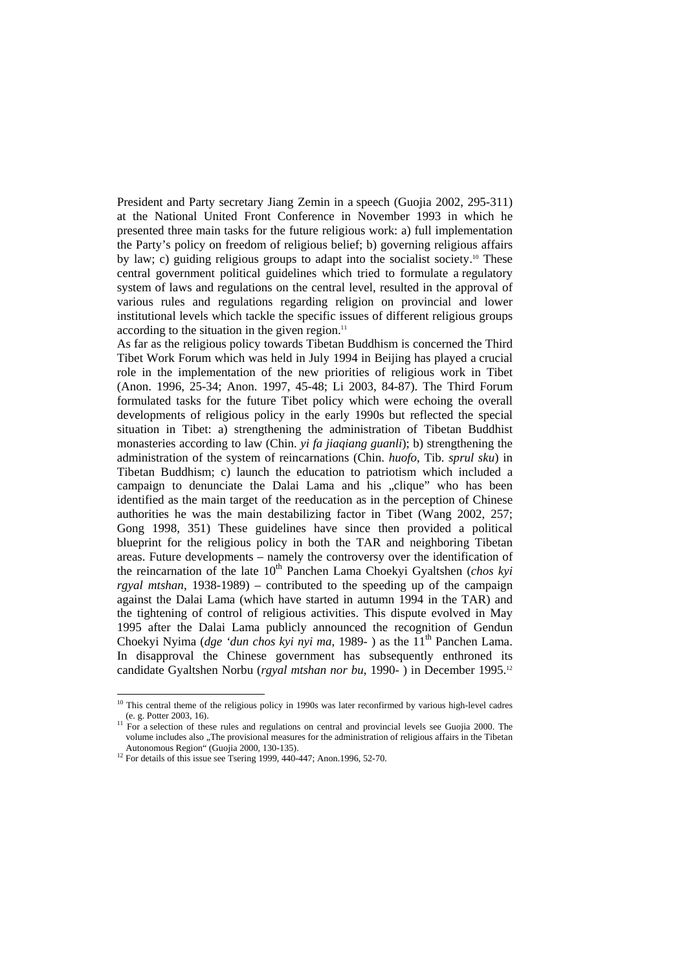President and Party secretary Jiang Zemin in a speech (Guojia 2002, 295-311) at the National United Front Conference in November 1993 in which he presented three main tasks for the future religious work: a) full implementation the Party's policy on freedom of religious belief; b) governing religious affairs by law; c) guiding religious groups to adapt into the socialist society.<sup>10</sup> These central government political guidelines which tried to formulate a regulatory system of laws and regulations on the central level, resulted in the approval of various rules and regulations regarding religion on provincial and lower institutional levels which tackle the specific issues of different religious groups according to the situation in the given region. $11$ 

As far as the religious policy towards Tibetan Buddhism is concerned the Third Tibet Work Forum which was held in July 1994 in Beijing has played a crucial role in the implementation of the new priorities of religious work in Tibet (Anon. 1996, 25-34; Anon. 1997, 45-48; Li 2003, 84-87). The Third Forum formulated tasks for the future Tibet policy which were echoing the overall developments of religious policy in the early 1990s but reflected the special situation in Tibet: a) strengthening the administration of Tibetan Buddhist monasteries according to law (Chin. *yi fa jiaqiang guanli*); b) strengthening the administration of the system of reincarnations (Chin. *huofo*, Tib. *sprul sku*) in Tibetan Buddhism; c) launch the education to patriotism which included a campaign to denunciate the Dalai Lama and his "clique" who has been identified as the main target of the reeducation as in the perception of Chinese authorities he was the main destabilizing factor in Tibet (Wang 2002, 257; Gong 1998, 351) These guidelines have since then provided a political blueprint for the religious policy in both the TAR and neighboring Tibetan areas. Future developments – namely the controversy over the identification of the reincarnation of the late 10<sup>th</sup> Panchen Lama Choekyi Gyaltshen (*chos kyi rgyal mtshan*, 1938-1989) – contributed to the speeding up of the campaign against the Dalai Lama (which have started in autumn 1994 in the TAR) and the tightening of control of religious activities. This dispute evolved in May 1995 after the Dalai Lama publicly announced the recognition of Gendun Choekyi Nyima (*dge 'dun chos kyi nyi ma*, 1989-) as the 11<sup>th</sup> Panchen Lama. In disapproval the Chinese government has subsequently enthroned its candidate Gyaltshen Norbu (*rgyal mtshan nor bu*, 1990- ) in December 1995.12

 $10$  This central theme of the religious policy in 1990s was later reconfirmed by various high-level cadres

<sup>(</sup>e. g. Potter 2003, 16). 11 For a selection of these rules and regulations on central and provincial levels see Guojia 2000. The volume includes also "The provisional measures for the administration of religious affairs in the Tibetan Autonomous Region" (Guojia 2000, 130-135). 12 For details of this issue see Tsering 1999, 440-447; Anon.1996, 52-70.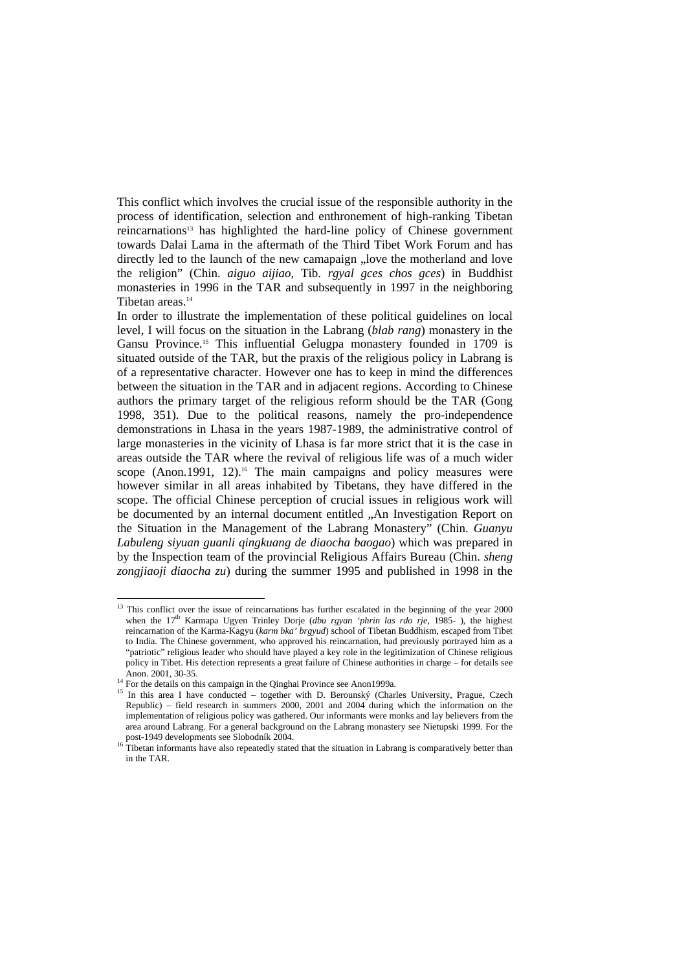This conflict which involves the crucial issue of the responsible authority in the process of identification, selection and enthronement of high-ranking Tibetan reincarnations<sup>13</sup> has highlighted the hard-line policy of Chinese government towards Dalai Lama in the aftermath of the Third Tibet Work Forum and has directly led to the launch of the new camapaign "love the motherland and love the religion" (Chin. *aiguo aijiao*, Tib. *rgyal gces chos gces*) in Buddhist monasteries in 1996 in the TAR and subsequently in 1997 in the neighboring Tibetan areas.14

In order to illustrate the implementation of these political guidelines on local level, I will focus on the situation in the Labrang (*blab rang*) monastery in the Gansu Province.15 This influential Gelugpa monastery founded in 1709 is situated outside of the TAR, but the praxis of the religious policy in Labrang is of a representative character. However one has to keep in mind the differences between the situation in the TAR and in adjacent regions. According to Chinese authors the primary target of the religious reform should be the TAR (Gong 1998, 351). Due to the political reasons, namely the pro-independence demonstrations in Lhasa in the years 1987-1989, the administrative control of large monasteries in the vicinity of Lhasa is far more strict that it is the case in areas outside the TAR where the revival of religious life was of a much wider scope (Anon.1991, 12).<sup>16</sup> The main campaigns and policy measures were however similar in all areas inhabited by Tibetans, they have differed in the scope. The official Chinese perception of crucial issues in religious work will be documented by an internal document entitled ..An Investigation Report on the Situation in the Management of the Labrang Monastery" (Chin. *Guanyu Labuleng siyuan guanli qingkuang de diaocha baogao*) which was prepared in by the Inspection team of the provincial Religious Affairs Bureau (Chin. *sheng zongjiaoji diaocha zu*) during the summer 1995 and published in 1998 in the

 $13$  This conflict over the issue of reincarnations has further escalated in the beginning of the year 2000 when the 17<sup>th</sup> Karmapa Ugyen Trinley Dorje (*dbu rgyan 'phrin las rdo rje*, 1985-), the highest reincarnation of the Karma-Kagyu (*karm bka' brgyud*) school of Tibetan Buddhism, escaped from Tibet to India. The Chinese government, who approved his reincarnation, had previously portrayed him as a "patriotic" religious leader who should have played a key role in the legitimization of Chinese religious policy in Tibet. His detection represents a great failure of Chinese authorities in charge – for details see

<sup>&</sup>lt;sup>14</sup> For the details on this campaign in the Qinghai Province see Anon1999a.

<sup>&</sup>lt;sup>15</sup> In this area I have conducted – together with D. Berounský (Charles University, Prague, Czech Republic) – field research in summers 2000, 2001 and 2004 during which the information on the implementation of religious policy was gathered. Our informants were monks and lay believers from the area around Labrang. For a general background on the Labrang monastery see Nietupski 1999. For the post-1949 developments see Slobodník 2004.<br>
<sup>16</sup> Tibetan informants have also repeatedly stated that the situation in Labrang is comparatively better than<br>
<sup>16</sup> Tibetan informants have also repeatedly stated that the situa

in the TAR.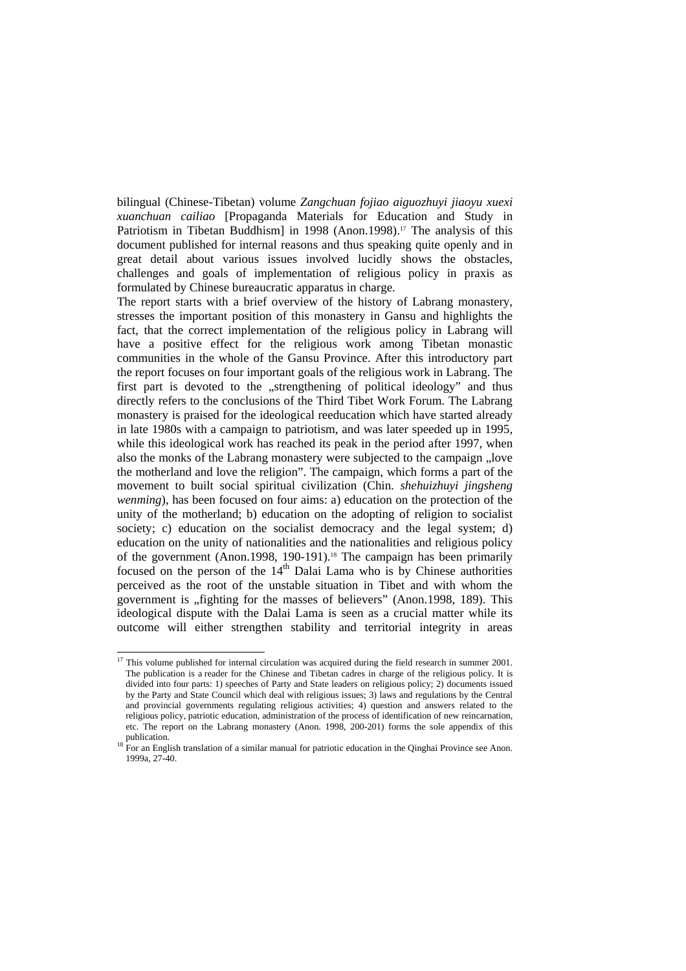bilingual (Chinese-Tibetan) volume *Zangchuan fojiao aiguozhuyi jiaoyu xuexi xuanchuan cailiao* [Propaganda Materials for Education and Study in Patriotism in Tibetan Buddhism] in 1998 (Anon.1998).<sup>17</sup> The analysis of this document published for internal reasons and thus speaking quite openly and in great detail about various issues involved lucidly shows the obstacles, challenges and goals of implementation of religious policy in praxis as formulated by Chinese bureaucratic apparatus in charge.

The report starts with a brief overview of the history of Labrang monastery, stresses the important position of this monastery in Gansu and highlights the fact, that the correct implementation of the religious policy in Labrang will have a positive effect for the religious work among Tibetan monastic communities in the whole of the Gansu Province. After this introductory part the report focuses on four important goals of the religious work in Labrang. The first part is devoted to the "strengthening of political ideology" and thus directly refers to the conclusions of the Third Tibet Work Forum. The Labrang monastery is praised for the ideological reeducation which have started already in late 1980s with a campaign to patriotism, and was later speeded up in 1995, while this ideological work has reached its peak in the period after 1997, when also the monks of the Labrang monastery were subjected to the campaign "love the motherland and love the religion". The campaign, which forms a part of the movement to built social spiritual civilization (Chin. *shehuizhuyi jingsheng wenming*), has been focused on four aims: a) education on the protection of the unity of the motherland; b) education on the adopting of religion to socialist society; c) education on the socialist democracy and the legal system; d) education on the unity of nationalities and the nationalities and religious policy of the government (Anon.1998, 190-191).<sup>18</sup> The campaign has been primarily focused on the person of the  $14<sup>th</sup>$  Dalai Lama who is by Chinese authorities perceived as the root of the unstable situation in Tibet and with whom the government is "fighting for the masses of believers" (Anon.1998, 189). This ideological dispute with the Dalai Lama is seen as a crucial matter while its outcome will either strengthen stability and territorial integrity in areas

<sup>&</sup>lt;sup>17</sup> This volume published for internal circulation was acquired during the field research in summer 2001. The publication is a reader for the Chinese and Tibetan cadres in charge of the religious policy. It is divided into four parts: 1) speeches of Party and State leaders on religious policy; 2) documents issued by the Party and State Council which deal with religious issues; 3) laws and regulations by the Central and provincial governments regulating religious activities; 4) question and answers related to the religious policy, patriotic education, administration of the process of identification of new reincarnation, etc. The report on the Labrang monastery (Anon. 1998, 200-201) forms the sole appendix of this publication.<br><sup>18</sup> For an English translation of a similar manual for patriotic education in the Qinghai Province see Anon.

<sup>1999</sup>a, 27-40.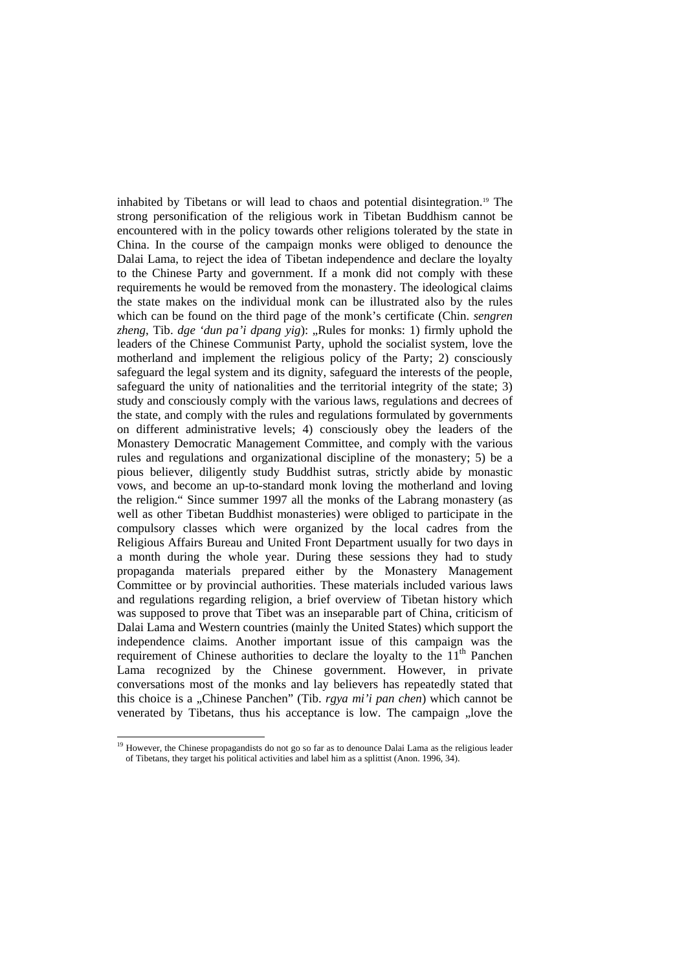inhabited by Tibetans or will lead to chaos and potential disintegration.<sup>19</sup> The strong personification of the religious work in Tibetan Buddhism cannot be encountered with in the policy towards other religions tolerated by the state in China. In the course of the campaign monks were obliged to denounce the Dalai Lama, to reject the idea of Tibetan independence and declare the loyalty to the Chinese Party and government. If a monk did not comply with these requirements he would be removed from the monastery. The ideological claims the state makes on the individual monk can be illustrated also by the rules which can be found on the third page of the monk's certificate (Chin. *sengren zheng*, Tib. *dge 'dun pa'i dpang yig*): "Rules for monks: 1) firmly uphold the leaders of the Chinese Communist Party, uphold the socialist system, love the motherland and implement the religious policy of the Party; 2) consciously safeguard the legal system and its dignity, safeguard the interests of the people, safeguard the unity of nationalities and the territorial integrity of the state; 3) study and consciously comply with the various laws, regulations and decrees of the state, and comply with the rules and regulations formulated by governments on different administrative levels; 4) consciously obey the leaders of the Monastery Democratic Management Committee, and comply with the various rules and regulations and organizational discipline of the monastery; 5) be a pious believer, diligently study Buddhist sutras, strictly abide by monastic vows, and become an up-to-standard monk loving the motherland and loving the religion." Since summer 1997 all the monks of the Labrang monastery (as well as other Tibetan Buddhist monasteries) were obliged to participate in the compulsory classes which were organized by the local cadres from the Religious Affairs Bureau and United Front Department usually for two days in a month during the whole year. During these sessions they had to study propaganda materials prepared either by the Monastery Management Committee or by provincial authorities. These materials included various laws and regulations regarding religion, a brief overview of Tibetan history which was supposed to prove that Tibet was an inseparable part of China, criticism of Dalai Lama and Western countries (mainly the United States) which support the independence claims. Another important issue of this campaign was the requirement of Chinese authorities to declare the loyalty to the  $11<sup>th</sup>$  Panchen Lama recognized by the Chinese government. However, in private conversations most of the monks and lay believers has repeatedly stated that this choice is a "Chinese Panchen" (Tib. *rgya mi'i pan chen*) which cannot be venerated by Tibetans, thus his acceptance is low. The campaign "love the

<sup>&</sup>lt;sup>19</sup> However, the Chinese propagandists do not go so far as to denounce Dalai Lama as the religious leader of Tibetans, they target his political activities and label him as a splittist (Anon. 1996, 34).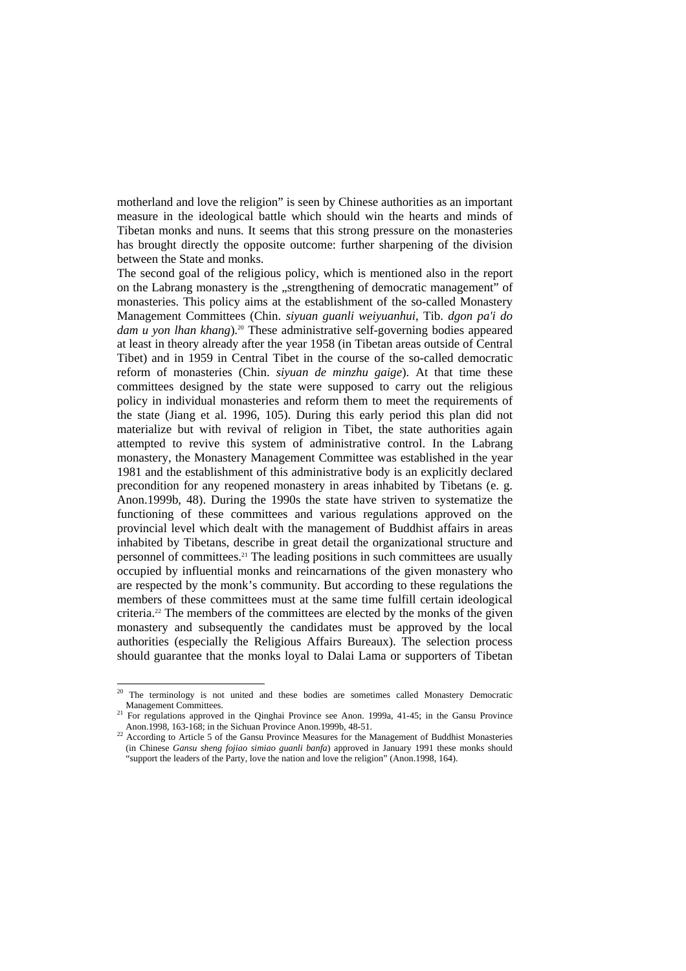motherland and love the religion" is seen by Chinese authorities as an important measure in the ideological battle which should win the hearts and minds of Tibetan monks and nuns. It seems that this strong pressure on the monasteries has brought directly the opposite outcome: further sharpening of the division between the State and monks.

The second goal of the religious policy, which is mentioned also in the report on the Labrang monastery is the "strengthening of democratic management" of monasteries. This policy aims at the establishment of the so-called Monastery Management Committees (Chin. *siyuan guanli weiyuanhui*, Tib. *dgon pa'i do*  dam *u* yon *lhan khang*).<sup>20</sup> These administrative self-governing bodies appeared at least in theory already after the year 1958 (in Tibetan areas outside of Central Tibet) and in 1959 in Central Tibet in the course of the so-called democratic reform of monasteries (Chin. *siyuan de minzhu gaige*). At that time these committees designed by the state were supposed to carry out the religious policy in individual monasteries and reform them to meet the requirements of the state (Jiang et al. 1996, 105). During this early period this plan did not materialize but with revival of religion in Tibet, the state authorities again attempted to revive this system of administrative control. In the Labrang monastery, the Monastery Management Committee was established in the year 1981 and the establishment of this administrative body is an explicitly declared precondition for any reopened monastery in areas inhabited by Tibetans (e. g. Anon.1999b, 48). During the 1990s the state have striven to systematize the functioning of these committees and various regulations approved on the provincial level which dealt with the management of Buddhist affairs in areas inhabited by Tibetans, describe in great detail the organizational structure and personnel of committees.<sup>21</sup> The leading positions in such committees are usually occupied by influential monks and reincarnations of the given monastery who are respected by the monk's community. But according to these regulations the members of these committees must at the same time fulfill certain ideological criteria.22 The members of the committees are elected by the monks of the given monastery and subsequently the candidates must be approved by the local authorities (especially the Religious Affairs Bureaux). The selection process should guarantee that the monks loyal to Dalai Lama or supporters of Tibetan

<sup>&</sup>lt;sup>20</sup> The terminology is not united and these bodies are sometimes called Monastery Democratic

Management Committees.<br><sup>21</sup> For regulations approved in the Qinghai Province see Anon. 1999a, 41-45; in the Gansu Province<br>Anon. 1998, 163-168; in the Sichuan Province Anon. 1999b, 48-51.

 $\frac{22}{2}$  According to Article 5 of the Gansu Province Measures for the Management of Buddhist Monasteries (in Chinese *Gansu sheng fojiao simiao guanli banfa*) approved in January 1991 these monks should "support the leaders of the Party, love the nation and love the religion" (Anon.1998, 164).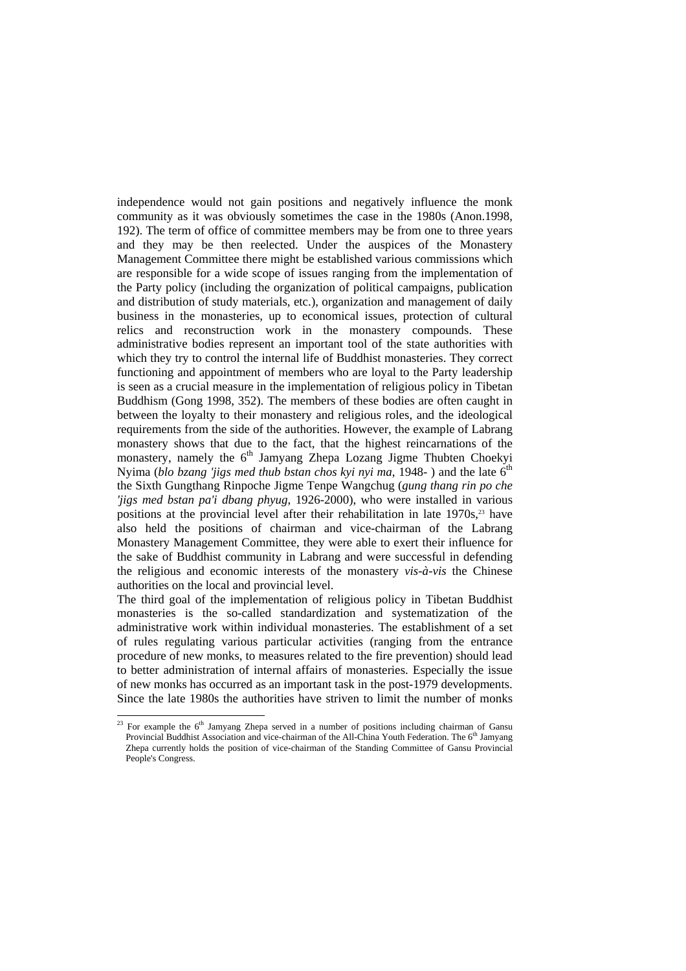independence would not gain positions and negatively influence the monk community as it was obviously sometimes the case in the 1980s (Anon.1998, 192). The term of office of committee members may be from one to three years and they may be then reelected. Under the auspices of the Monastery Management Committee there might be established various commissions which are responsible for a wide scope of issues ranging from the implementation of the Party policy (including the organization of political campaigns, publication and distribution of study materials, etc.), organization and management of daily business in the monasteries, up to economical issues, protection of cultural relics and reconstruction work in the monastery compounds. These administrative bodies represent an important tool of the state authorities with which they try to control the internal life of Buddhist monasteries. They correct functioning and appointment of members who are loyal to the Party leadership is seen as a crucial measure in the implementation of religious policy in Tibetan Buddhism (Gong 1998, 352). The members of these bodies are often caught in between the loyalty to their monastery and religious roles, and the ideological requirements from the side of the authorities. However, the example of Labrang monastery shows that due to the fact, that the highest reincarnations of the monastery, namely the  $6<sup>th</sup>$  Jamyang Zhepa Lozang Jigme Thubten Choekyi Nyima (*blo bzang 'jigs med thub bstan chos kyi nyi ma*, 1948-) and the late 6<sup>th</sup> the Sixth Gungthang Rinpoche Jigme Tenpe Wangchug (*gung thang rin po che 'jigs med bstan pa'i dbang phyug*, 1926-2000), who were installed in various positions at the provincial level after their rehabilitation in late 1970s.<sup>23</sup> have also held the positions of chairman and vice-chairman of the Labrang Monastery Management Committee, they were able to exert their influence for the sake of Buddhist community in Labrang and were successful in defending the religious and economic interests of the monastery *vis-à-vis* the Chinese authorities on the local and provincial level.

The third goal of the implementation of religious policy in Tibetan Buddhist monasteries is the so-called standardization and systematization of the administrative work within individual monasteries. The establishment of a set of rules regulating various particular activities (ranging from the entrance procedure of new monks, to measures related to the fire prevention) should lead to better administration of internal affairs of monasteries. Especially the issue of new monks has occurred as an important task in the post-1979 developments. Since the late 1980s the authorities have striven to limit the number of monks

 $23$  For example the  $6<sup>th</sup>$  Jamyang Zhepa served in a number of positions including chairman of Gansu Provincial Buddhist Association and vice-chairman of the All-China Youth Federation. The 6<sup>th</sup> Jamyang Zhepa currently holds the position of vice-chairman of the Standing Committee of Gansu Provincial People's Congress.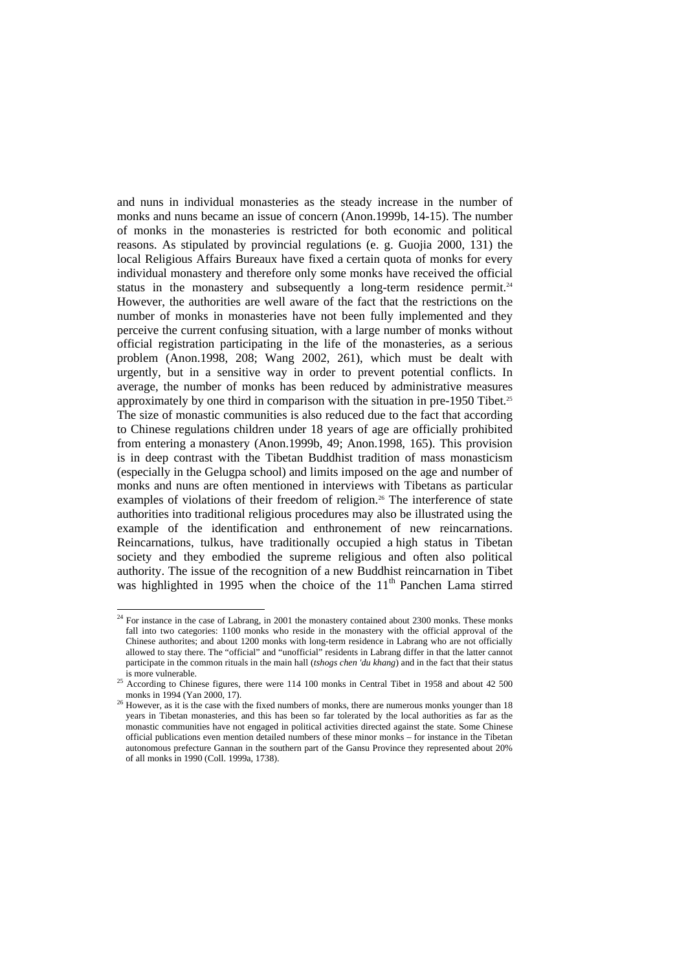and nuns in individual monasteries as the steady increase in the number of monks and nuns became an issue of concern (Anon.1999b, 14-15). The number of monks in the monasteries is restricted for both economic and political reasons. As stipulated by provincial regulations (e. g. Guojia 2000, 131) the local Religious Affairs Bureaux have fixed a certain quota of monks for every individual monastery and therefore only some monks have received the official status in the monastery and subsequently a long-term residence permit.<sup>24</sup> However, the authorities are well aware of the fact that the restrictions on the number of monks in monasteries have not been fully implemented and they perceive the current confusing situation, with a large number of monks without official registration participating in the life of the monasteries, as a serious problem (Anon.1998, 208; Wang 2002, 261), which must be dealt with urgently, but in a sensitive way in order to prevent potential conflicts. In average, the number of monks has been reduced by administrative measures approximately by one third in comparison with the situation in pre-1950 Tibet.<sup>25</sup> The size of monastic communities is also reduced due to the fact that according to Chinese regulations children under 18 years of age are officially prohibited from entering a monastery (Anon.1999b, 49; Anon.1998, 165). This provision is in deep contrast with the Tibetan Buddhist tradition of mass monasticism (especially in the Gelugpa school) and limits imposed on the age and number of monks and nuns are often mentioned in interviews with Tibetans as particular examples of violations of their freedom of religion.<sup>26</sup> The interference of state authorities into traditional religious procedures may also be illustrated using the example of the identification and enthronement of new reincarnations. Reincarnations, tulkus, have traditionally occupied a high status in Tibetan society and they embodied the supreme religious and often also political authority. The issue of the recognition of a new Buddhist reincarnation in Tibet was highlighted in 1995 when the choice of the  $11<sup>th</sup>$  Panchen Lama stirred

 $24$  For instance in the case of Labrang, in 2001 the monastery contained about 2300 monks. These monks fall into two categories: 1100 monks who reside in the monastery with the official approval of the Chinese authorites; and about 1200 monks with long-term residence in Labrang who are not officially allowed to stay there. The "official" and "unofficial" residents in Labrang differ in that the latter cannot participate in the common rituals in the main hall (*tshogs chen 'du khang*) and in the fact that their status

<sup>&</sup>lt;sup>25</sup> According to Chinese figures, there were  $114\,100$  monks in Central Tibet in 1958 and about  $42\,500$ 

monks in 1994 (Yan 2000, 17). <sup>26</sup> However, as it is the case with the fixed numbers of monks, there are numerous monks younger than 18 years in Tibetan monasteries, and this has been so far tolerated by the local authorities as far as the monastic communities have not engaged in political activities directed against the state. Some Chinese official publications even mention detailed numbers of these minor monks – for instance in the Tibetan autonomous prefecture Gannan in the southern part of the Gansu Province they represented about 20% of all monks in 1990 (Coll. 1999a, 1738).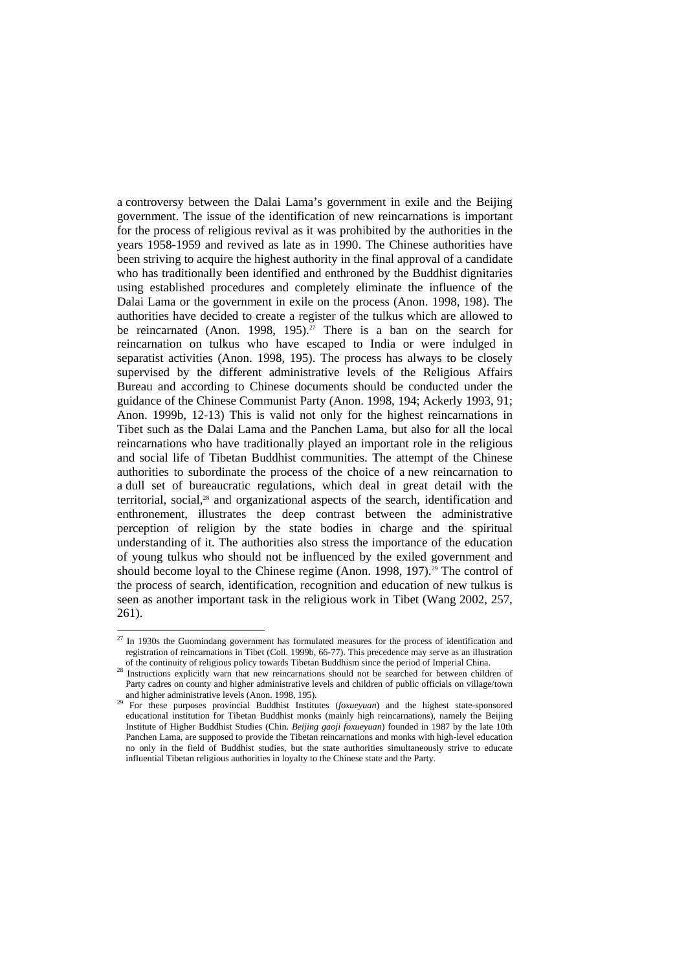a controversy between the Dalai Lama's government in exile and the Beijing government. The issue of the identification of new reincarnations is important for the process of religious revival as it was prohibited by the authorities in the years 1958-1959 and revived as late as in 1990. The Chinese authorities have been striving to acquire the highest authority in the final approval of a candidate who has traditionally been identified and enthroned by the Buddhist dignitaries using established procedures and completely eliminate the influence of the Dalai Lama or the government in exile on the process (Anon. 1998, 198). The authorities have decided to create a register of the tulkus which are allowed to be reincarnated (Anon. 1998, 195).<sup>27</sup> There is a ban on the search for reincarnation on tulkus who have escaped to India or were indulged in separatist activities (Anon. 1998, 195). The process has always to be closely supervised by the different administrative levels of the Religious Affairs Bureau and according to Chinese documents should be conducted under the guidance of the Chinese Communist Party (Anon. 1998, 194; Ackerly 1993, 91; Anon. 1999b, 12-13) This is valid not only for the highest reincarnations in Tibet such as the Dalai Lama and the Panchen Lama, but also for all the local reincarnations who have traditionally played an important role in the religious and social life of Tibetan Buddhist communities. The attempt of the Chinese authorities to subordinate the process of the choice of a new reincarnation to a dull set of bureaucratic regulations, which deal in great detail with the territorial, social,<sup>28</sup> and organizational aspects of the search, identification and enthronement, illustrates the deep contrast between the administrative perception of religion by the state bodies in charge and the spiritual understanding of it. The authorities also stress the importance of the education of young tulkus who should not be influenced by the exiled government and should become loyal to the Chinese regime (Anon. 1998, 197).<sup>29</sup> The control of the process of search, identification, recognition and education of new tulkus is seen as another important task in the religious work in Tibet (Wang 2002, 257, 261).

 $27$  In 1930s the Guomindang government has formulated measures for the process of identification and registration of reincarnations in Tibet (Coll. 1999b, 66-77). This precedence may serve as an illustration of the continuity of religious policy towards Tibetan Buddhism since the period of Imperial China.

 $\frac{28}{28}$  Instructions explicitly warn that new reincarnations should not be searched for between children of Party cadres on county and higher administrative levels and children of public officials on village/town

and higher administrative levels (Anon. 1998, 195). 29 For these purposes provincial Buddhist Institutes (*foxueyuan*) and the highest state-sponsored educational institution for Tibetan Buddhist monks (mainly high reincarnations), namely the Beijing Institute of Higher Buddhist Studies (Chin. *Beijing gaoji foxueyuan*) founded in 1987 by the late 10th Panchen Lama, are supposed to provide the Tibetan reincarnations and monks with high-level education no only in the field of Buddhist studies, but the state authorities simultaneously strive to educate influential Tibetan religious authorities in loyalty to the Chinese state and the Party.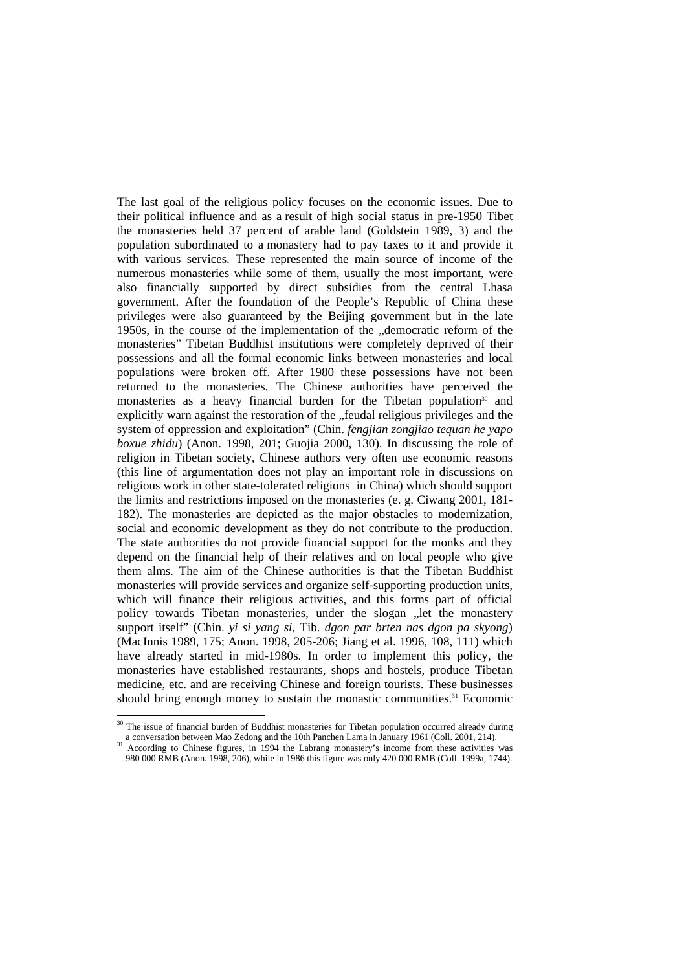The last goal of the religious policy focuses on the economic issues. Due to their political influence and as a result of high social status in pre-1950 Tibet the monasteries held 37 percent of arable land (Goldstein 1989, 3) and the population subordinated to a monastery had to pay taxes to it and provide it with various services. These represented the main source of income of the numerous monasteries while some of them, usually the most important, were also financially supported by direct subsidies from the central Lhasa government. After the foundation of the People's Republic of China these privileges were also guaranteed by the Beijing government but in the late 1950s, in the course of the implementation of the ...democratic reform of the monasteries" Tibetan Buddhist institutions were completely deprived of their possessions and all the formal economic links between monasteries and local populations were broken off. After 1980 these possessions have not been returned to the monasteries. The Chinese authorities have perceived the monasteries as a heavy financial burden for the Tibetan population<sup>30</sup> and explicitly warn against the restoration of the "feudal religious privileges and the system of oppression and exploitation" (Chin. *fengjian zongjiao tequan he yapo boxue zhidu*) (Anon. 1998, 201; Guojia 2000, 130). In discussing the role of religion in Tibetan society, Chinese authors very often use economic reasons (this line of argumentation does not play an important role in discussions on religious work in other state-tolerated religions in China) which should support the limits and restrictions imposed on the monasteries (e. g. Ciwang 2001, 181- 182). The monasteries are depicted as the major obstacles to modernization, social and economic development as they do not contribute to the production. The state authorities do not provide financial support for the monks and they depend on the financial help of their relatives and on local people who give them alms. The aim of the Chinese authorities is that the Tibetan Buddhist monasteries will provide services and organize self-supporting production units, which will finance their religious activities, and this forms part of official policy towards Tibetan monasteries, under the slogan ... let the monastery support itself" (Chin. *yi si yang si*, Tib. *dgon par brten nas dgon pa skyong*) (MacInnis 1989, 175; Anon. 1998, 205-206; Jiang et al. 1996, 108, 111) which have already started in mid-1980s. In order to implement this policy, the monasteries have established restaurants, shops and hostels, produce Tibetan medicine, etc. and are receiving Chinese and foreign tourists. These businesses should bring enough money to sustain the monastic communities.<sup>31</sup> Economic

 $\overline{a}$  $30$  The issue of financial burden of Buddhist monasteries for Tibetan population occurred already during

a conversation between Mao Zedong and the 10th Panchen Lama in January 1961 (Coll. 2001, 214).<br><sup>31</sup> According to Chinese figures, in 1994 the Labrang monastery's income from these activities was 980 000 RMB (Anon. 1998, 206), while in 1986 this figure was only 420 000 RMB (Coll. 1999a, 1744).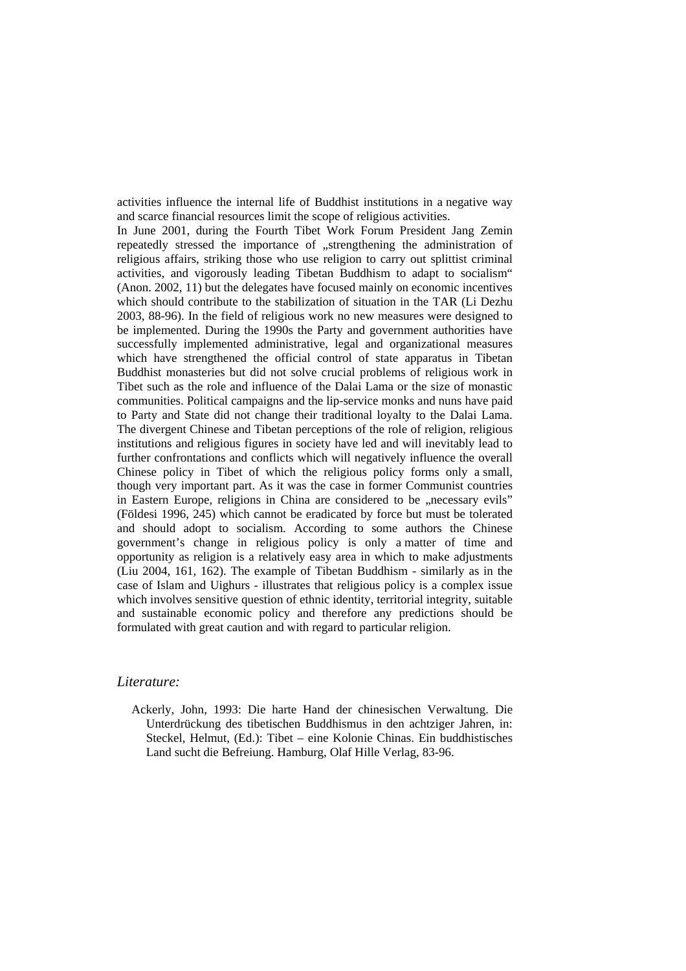activities influence the internal life of Buddhist institutions in a negative way and scarce financial resources limit the scope of religious activities.

In June 2001, during the Fourth Tibet Work Forum President Jang Zemin repeatedly stressed the importance of "strengthening the administration of religious affairs, striking those who use religion to carry out splittist criminal activities, and vigorously leading Tibetan Buddhism to adapt to socialism" (Anon. 2002, 11) but the delegates have focused mainly on economic incentives which should contribute to the stabilization of situation in the TAR (Li Dezhu 2003, 88-96). In the field of religious work no new measures were designed to be implemented. During the 1990s the Party and government authorities have successfully implemented administrative, legal and organizational measures which have strengthened the official control of state apparatus in Tibetan Buddhist monasteries but did not solve crucial problems of religious work in Tibet such as the role and influence of the Dalai Lama or the size of monastic communities. Political campaigns and the lip-service monks and nuns have paid to Party and State did not change their traditional loyalty to the Dalai Lama. The divergent Chinese and Tibetan perceptions of the role of religion, religious institutions and religious figures in society have led and will inevitably lead to further confrontations and conflicts which will negatively influence the overall Chinese policy in Tibet of which the religious policy forms only a small, though very important part. As it was the case in former Communist countries in Eastern Europe, religions in China are considered to be "necessary evils" (Földesi 1996, 245) which cannot be eradicated by force but must be tolerated and should adopt to socialism. According to some authors the Chinese government's change in religious policy is only a matter of time and opportunity as religion is a relatively easy area in which to make adjustments (Liu 2004, 161, 162). The example of Tibetan Buddhism - similarly as in the case of Islam and Uighurs - illustrates that religious policy is a complex issue which involves sensitive question of ethnic identity, territorial integrity, suitable and sustainable economic policy and therefore any predictions should be formulated with great caution and with regard to particular religion.

## *Literature:*

Ackerly, John, 1993: Die harte Hand der chinesischen Verwaltung. Die Unterdrückung des tibetischen Buddhismus in den achtziger Jahren, in: Steckel, Helmut, (Ed.): Tibet – eine Kolonie Chinas. Ein buddhistisches Land sucht die Befreiung. Hamburg, Olaf Hille Verlag, 83-96.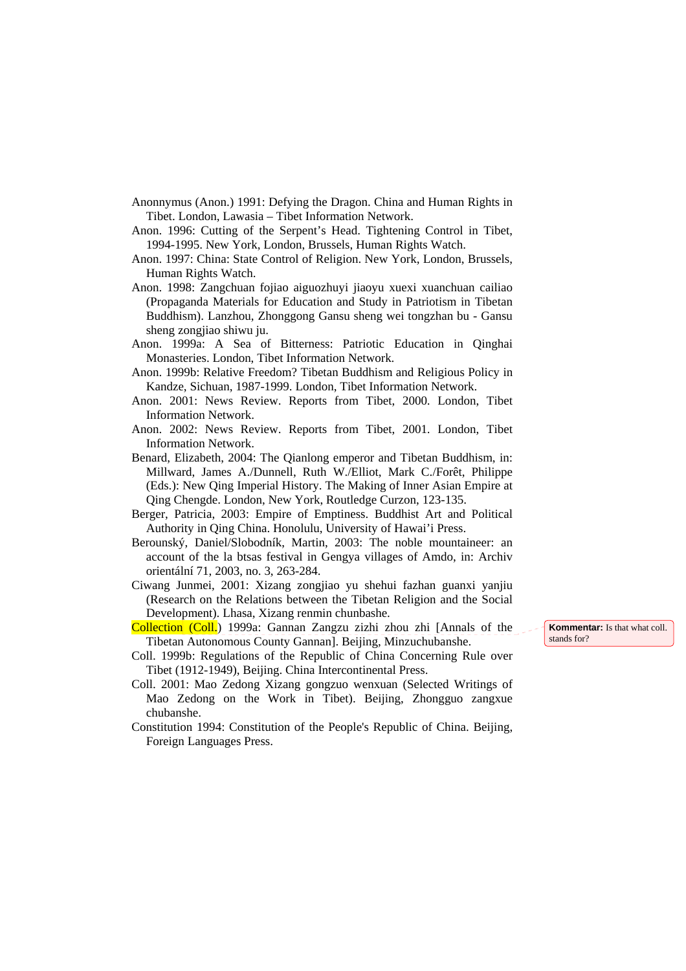- Anonnymus (Anon.) 1991: Defying the Dragon. China and Human Rights in Tibet. London, Lawasia – Tibet Information Network.
- Anon. 1996: Cutting of the Serpent's Head. Tightening Control in Tibet, 1994-1995. New York, London, Brussels, Human Rights Watch.
- Anon. 1997: China: State Control of Religion. New York, London, Brussels, Human Rights Watch.
- Anon. 1998: Zangchuan fojiao aiguozhuyi jiaoyu xuexi xuanchuan cailiao (Propaganda Materials for Education and Study in Patriotism in Tibetan Buddhism). Lanzhou, Zhonggong Gansu sheng wei tongzhan bu - Gansu sheng zongjiao shiwu ju.
- Anon. 1999a: A Sea of Bitterness: Patriotic Education in Qinghai Monasteries. London, Tibet Information Network.
- Anon. 1999b: Relative Freedom? Tibetan Buddhism and Religious Policy in Kandze, Sichuan, 1987-1999. London, Tibet Information Network.
- Anon. 2001: News Review. Reports from Tibet, 2000. London, Tibet Information Network.
- Anon. 2002: News Review. Reports from Tibet, 2001. London, Tibet Information Network.
- Benard, Elizabeth, 2004: The Qianlong emperor and Tibetan Buddhism, in: Millward, James A./Dunnell, Ruth W./Elliot, Mark C./Forêt, Philippe (Eds.): New Qing Imperial History. The Making of Inner Asian Empire at Qing Chengde. London, New York, Routledge Curzon, 123-135.
- Berger, Patricia, 2003: Empire of Emptiness. Buddhist Art and Political Authority in Qing China. Honolulu, University of Hawai'i Press.
- Berounský, Daniel/Slobodník, Martin, 2003: The noble mountaineer: an account of the la btsas festival in Gengya villages of Amdo, in: Archiv orientální 71, 2003, no. 3, 263-284.
- Ciwang Junmei, 2001: Xizang zongjiao yu shehui fazhan guanxi yanjiu (Research on the Relations between the Tibetan Religion and the Social Development). Lhasa, Xizang renmin chunbashe.
- Collection (Coll.) 1999a: Gannan Zangzu zizhi zhou zhi [Annals of the Tibetan Autonomous County Gannan]. Beijing, Minzuchubanshe.
- Coll. 1999b: Regulations of the Republic of China Concerning Rule over Tibet (1912-1949), Beijing. China Intercontinental Press.
- Coll. 2001: Mao Zedong Xizang gongzuo wenxuan (Selected Writings of Mao Zedong on the Work in Tibet). Beijing, Zhongguo zangxue chubanshe.
- Constitution 1994: Constitution of the People's Republic of China. Beijing, Foreign Languages Press.

**Kommentar:** Is that what coll. stands for?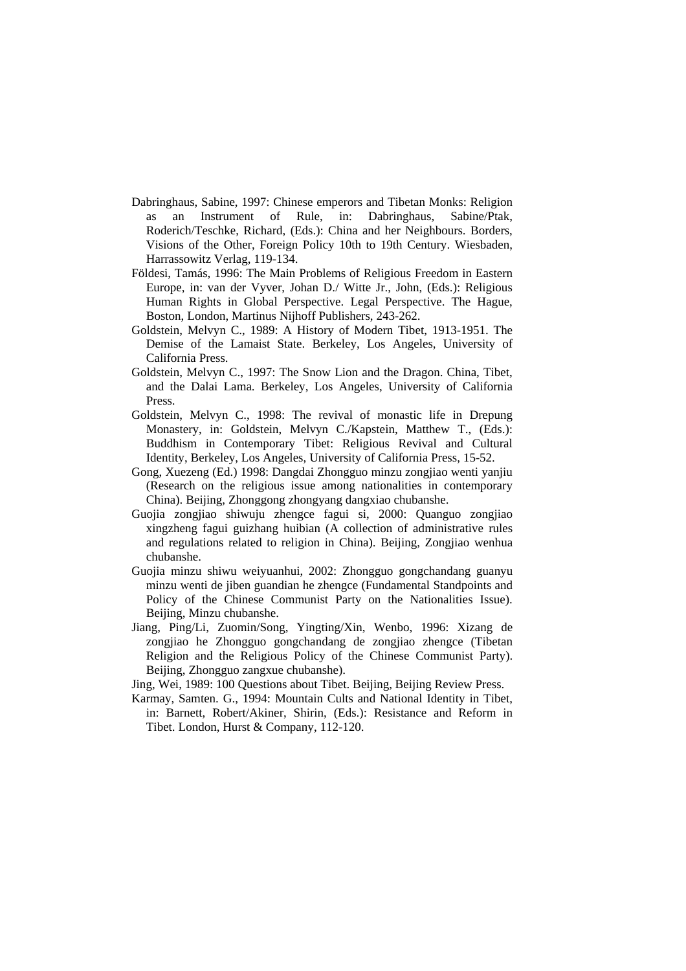- Dabringhaus, Sabine, 1997: Chinese emperors and Tibetan Monks: Religion as an Instrument of Rule, in: Dabringhaus, Sabine/Ptak, Roderich/Teschke, Richard, (Eds.): China and her Neighbours. Borders, Visions of the Other, Foreign Policy 10th to 19th Century. Wiesbaden, Harrassowitz Verlag, 119-134.
- Földesi, Tamás, 1996: The Main Problems of Religious Freedom in Eastern Europe, in: van der Vyver, Johan D./ Witte Jr., John, (Eds.): Religious Human Rights in Global Perspective. Legal Perspective. The Hague, Boston, London, Martinus Nijhoff Publishers, 243-262.
- Goldstein, Melvyn C., 1989: A History of Modern Tibet, 1913-1951. The Demise of the Lamaist State. Berkeley, Los Angeles, University of California Press.
- Goldstein, Melvyn C., 1997: The Snow Lion and the Dragon. China, Tibet, and the Dalai Lama. Berkeley, Los Angeles, University of California Press.
- Goldstein, Melvyn C., 1998: The revival of monastic life in Drepung Monastery, in: Goldstein, Melvyn C./Kapstein, Matthew T., (Eds.): Buddhism in Contemporary Tibet: Religious Revival and Cultural Identity, Berkeley, Los Angeles, University of California Press, 15-52.
- Gong, Xuezeng (Ed.) 1998: Dangdai Zhongguo minzu zongjiao wenti yanjiu (Research on the religious issue among nationalities in contemporary China). Beijing, Zhonggong zhongyang dangxiao chubanshe.
- Guojia zongjiao shiwuju zhengce fagui si, 2000: Quanguo zongjiao xingzheng fagui guizhang huibian (A collection of administrative rules and regulations related to religion in China). Beijing, Zongjiao wenhua chubanshe.
- Guojia minzu shiwu weiyuanhui, 2002: Zhongguo gongchandang guanyu minzu wenti de jiben guandian he zhengce (Fundamental Standpoints and Policy of the Chinese Communist Party on the Nationalities Issue). Beijing, Minzu chubanshe.
- Jiang, Ping/Li, Zuomin/Song, Yingting/Xin, Wenbo, 1996: Xizang de zongjiao he Zhongguo gongchandang de zongjiao zhengce (Tibetan Religion and the Religious Policy of the Chinese Communist Party). Beijing, Zhongguo zangxue chubanshe).
- Jing, Wei, 1989: 100 Questions about Tibet. Beijing, Beijing Review Press.
- Karmay, Samten. G., 1994: Mountain Cults and National Identity in Tibet, in: Barnett, Robert/Akiner, Shirin, (Eds.): Resistance and Reform in Tibet. London, Hurst & Company, 112-120.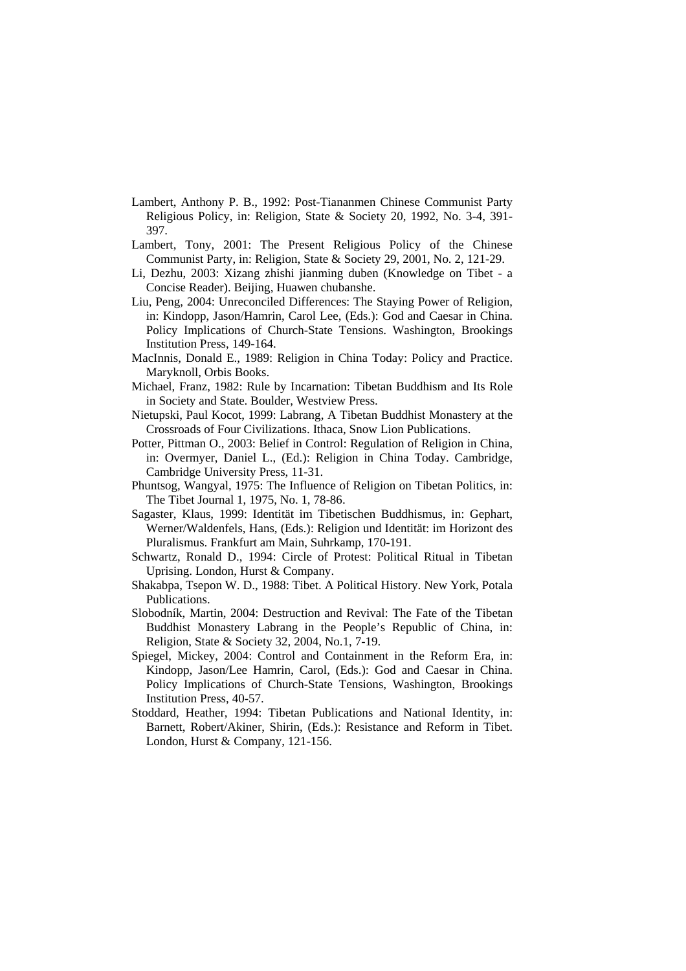- Lambert, Anthony P. B., 1992: Post-Tiananmen Chinese Communist Party Religious Policy, in: Religion, State & Society 20, 1992, No. 3-4, 391- 397.
- Lambert, Tony, 2001: The Present Religious Policy of the Chinese Communist Party, in: Religion, State & Society 29, 2001, No. 2, 121-29.
- Li, Dezhu, 2003: Xizang zhishi jianming duben (Knowledge on Tibet a Concise Reader). Beijing, Huawen chubanshe.
- Liu, Peng, 2004: Unreconciled Differences: The Staying Power of Religion, in: Kindopp, Jason/Hamrin, Carol Lee, (Eds.): God and Caesar in China. Policy Implications of Church-State Tensions. Washington, Brookings Institution Press, 149-164.
- MacInnis, Donald E., 1989: Religion in China Today: Policy and Practice. Maryknoll, Orbis Books.
- Michael, Franz, 1982: Rule by Incarnation: Tibetan Buddhism and Its Role in Society and State. Boulder, Westview Press.
- Nietupski, Paul Kocot, 1999: Labrang, A Tibetan Buddhist Monastery at the Crossroads of Four Civilizations. Ithaca, Snow Lion Publications.
- Potter, Pittman O., 2003: Belief in Control: Regulation of Religion in China, in: Overmyer, Daniel L., (Ed.): Religion in China Today. Cambridge, Cambridge University Press, 11-31.
- Phuntsog, Wangyal, 1975: The Influence of Religion on Tibetan Politics, in: The Tibet Journal 1, 1975, No. 1, 78-86.
- Sagaster, Klaus, 1999: Identität im Tibetischen Buddhismus, in: Gephart, Werner/Waldenfels, Hans, (Eds.): Religion und Identität: im Horizont des Pluralismus. Frankfurt am Main, Suhrkamp, 170-191.
- Schwartz, Ronald D., 1994: Circle of Protest: Political Ritual in Tibetan Uprising. London, Hurst & Company.
- Shakabpa, Tsepon W. D., 1988: Tibet. A Political History. New York, Potala Publications.
- Slobodník, Martin, 2004: Destruction and Revival: The Fate of the Tibetan Buddhist Monastery Labrang in the People's Republic of China, in: Religion, State & Society 32, 2004, No.1, 7-19.
- Spiegel, Mickey, 2004: Control and Containment in the Reform Era, in: Kindopp, Jason/Lee Hamrin, Carol, (Eds.): God and Caesar in China. Policy Implications of Church-State Tensions, Washington, Brookings Institution Press, 40-57.
- Stoddard, Heather, 1994: Tibetan Publications and National Identity, in: Barnett, Robert/Akiner, Shirin, (Eds.): Resistance and Reform in Tibet. London, Hurst & Company, 121-156.